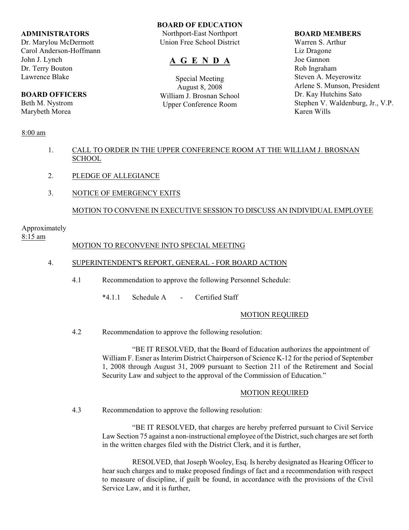### **ADMINISTRATORS**

Dr. Marylou McDermott Carol Anderson-Hoffmann John J. Lynch Dr. Terry Bouton Lawrence Blake

# **BOARD OFFICERS**

Beth M. Nystrom Marybeth Morea

## 8:00 am

## **BOARD OF EDUCATION**

Northport-East Northport Union Free School District

# **A G E N D A**

Special Meeting August 8, 2008 William J. Brosnan School Upper Conference Room

#### **BOARD MEMBERS**

Warren S. Arthur Liz Dragone Joe Gannon Rob Ingraham Steven A. Meyerowitz Arlene S. Munson, President Dr. Kay Hutchins Sato Stephen V. Waldenburg, Jr., V.P. Karen Wills

- 1. CALL TO ORDER IN THE UPPER CONFERENCE ROOM AT THE WILLIAM J. BROSNAN **SCHOOL**
- 2. PLEDGE OF ALLEGIANCE
- 3. NOTICE OF EMERGENCY EXITS

# MOTION TO CONVENE IN EXECUTIVE SESSION TO DISCUSS AN INDIVIDUAL EMPLOYEE

# Approximately

# 8:15 am

## MOTION TO RECONVENE INTO SPECIAL MEETING

## 4. SUPERINTENDENT'S REPORT, GENERAL - FOR BOARD ACTION

- 4.1 Recommendation to approve the following Personnel Schedule:
	- \*4.1.1 Schedule A Certified Staff

## MOTION REQUIRED

4.2 Recommendation to approve the following resolution:

"BE IT RESOLVED, that the Board of Education authorizes the appointment of William F. Esner as Interim District Chairperson of Science K-12 for the period of September 1, 2008 through August 31, 2009 pursuant to Section 211 of the Retirement and Social Security Law and subject to the approval of the Commission of Education."

#### MOTION REQUIRED

4.3 Recommendation to approve the following resolution:

"BE IT RESOLVED, that charges are hereby preferred pursuant to Civil Service Law Section 75 against a non-instructional employee of the District, such charges are set forth in the written charges filed with the District Clerk, and it is further,

RESOLVED, that Joseph Wooley, Esq. Is hereby designated as Hearing Officer to hear such charges and to make proposed findings of fact and a recommendation with respect to measure of discipline, if guilt be found, in accordance with the provisions of the Civil Service Law, and it is further,